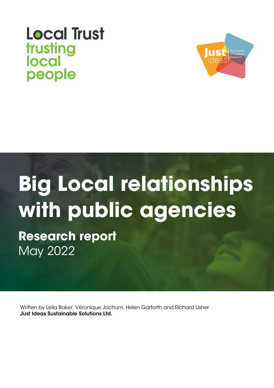# **Local Trust** trusting local people



# **Big Local relationships with public agencies**

**Research report** May 2022

Written by Leila Baker, Véronique Jochum, Helen Garforth and Richard Usher Just Ideas Sustainable Solutions Ltd.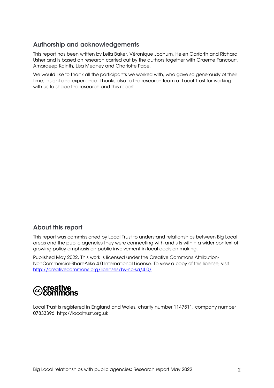# Authorship and acknowledgements

This report has been written by Leila Baker, Véronique Jochum, Helen Garforth and Richard Usher and is based on research carried out by the authors together with Graeme Fancourt, Amardeep Kainth, Lisa Meaney and Charlotte Pace.

We would like to thank all the participants we worked with, who gave so generously of their time, insight and experience. Thanks also to the research team at Local Trust for working with us to shape the research and this report.

# About this report

This report was commissioned by Local Trust to understand relationships between Big Local areas and the public agencies they were connecting with and sits within a wider context of growing policy emphasis on public involvement in local decision-making.

Published May 2022. This work is licensed under the Creative Commons Attribution-NonCommercial-ShareAlike 4.0 International License. To view a copy of this license, visit <http://creativecommons.org/licenses/by-nc-sa/4.0/>

# creative<br>commons

Local Trust is registered in England and Wales, charity number 1147511, company number 07833396. http://localtrust.org.uk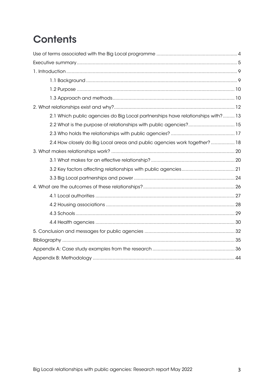# **Contents**

| 2.1 Which public agencies do Big Local partnerships have relationships with? 13 |
|---------------------------------------------------------------------------------|
|                                                                                 |
|                                                                                 |
| 2.4 How closely do Big Local areas and public agencies work together?  18       |
|                                                                                 |
|                                                                                 |
|                                                                                 |
|                                                                                 |
|                                                                                 |
|                                                                                 |
|                                                                                 |
|                                                                                 |
|                                                                                 |
|                                                                                 |
|                                                                                 |
|                                                                                 |
|                                                                                 |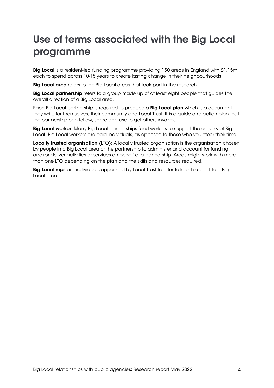# <span id="page-3-0"></span>Use of terms associated with the Big Local programme

Big Local is a resident-led funding programme providing 150 areas in England with £1.15m each to spend across 10-15 years to create lasting change in their neighbourhoods.

Big Local area refers to the Big Local areas that took part in the research.

Big Local partnership refers to a group made up of at least eight people that guides the overall direction of a Big Local area.

Each Big Local partnership is required to produce a Big Local plan which is a document they write for themselves, their community and Local Trust. It is a guide and action plan that the partnership can follow, share and use to get others involved.

Big Local worker: Many Big Local partnerships fund workers to support the delivery of Big Local. Big Local workers are paid individuals, as opposed to those who volunteer their time.

Locally trusted organisation (LTO): A locally trusted organisation is the organisation chosen by people in a Big Local area or the partnership to administer and account for funding, and/or deliver activities or services on behalf of a partnership. Areas might work with more than one LTO depending on the plan and the skills and resources required.

Big Local reps are individuals appointed by Local Trust to offer tailored support to a Big Local area.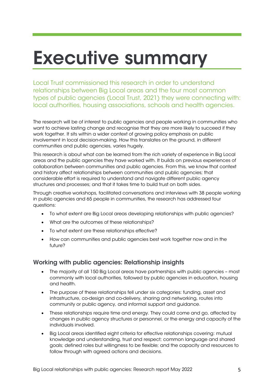# <span id="page-4-0"></span>Executive summary

Local Trust commissioned this research in order to understand relationships between Big Local areas and the four most common types of public agencies (Local Trust, 2021) they were connecting with: local authorities, housing associations, schools and health agencies.

The research will be of interest to public agencies and people working in communities who want to achieve lasting change and recognise that they are more likely to succeed if they work together. It sits within a wider context of growing policy emphasis on public involvement in local decision-making. How this translates on the ground, in different communities and public agencies, varies hugely.

This research is about what can be learned from the rich variety of experience in Big Local areas and the public agencies they have worked with. It builds on previous experiences of collaboration between communities and public agencies. From this, we know that context and history affect relationships between communities and public agencies; that considerable effort is required to understand and navigate different public agency structures and processes; and that it takes time to build trust on both sides.

Through creative workshops, facilitated conversations and interviews with 38 people working in public agencies and 65 people in communities, the research has addressed four questions:

- To what extent are Big Local areas developing relationships with public agencies?
- What are the outcomes of these relationships?
- To what extent are these relationships effective?
- How can communities and public agencies best work together now and in the future?

### Working with public agencies: Relationship insights

- The majority of all 150 Big Local areas have partnerships with public agencies most commonly with local authorities, followed by public agencies in education, housing and health.
- The purpose of these relationships fell under six categories: funding, asset and infrastructure, co-design and co-delivery, sharing and networking, routes into community or public agency, and informal support and guidance.
- These relationships require time and energy. They could come and go, affected by changes in public agency structures or personnel, or the energy and capacity of the individuals involved.
- Big Local areas identified eight criteria for effective relationships covering: mutual knowledge and understanding, trust and respect; common language and shared goals; defined roles but willingness to be flexible; and the capacity and resources to follow through with agreed actions and decisions.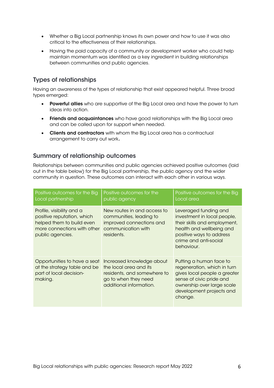- Whether a Big Local partnership knows its own power and how to use it was also critical to the effectiveness of their relationships.
- Having the paid capacity of a community or development worker who could help maintain momentum was identified as a key ingredient in building relationships between communities and public agencies.

# Types of relationships

Having an awareness of the types of relationship that exist appeared helpful. Three broad types emerged:

- Powerful allies who are supportive of the Big Local area and have the power to turn ideas into action.
- Friends and acquaintances who have good relationships with the Big Local area and can be called upon for support when needed.
- Clients and contractors with whom the Big Local area has a contractual arrangement to carry out work.

### Summary of relationship outcomes

Relationships between communities and public agencies achieved positive outcomes (laid out in the table below) for the Big Local partnership, the public agency and the wider community in question. These outcomes can interact with each other in various ways.

| Positive outcomes for the Big<br>Local partnership                                                                                      | Positive outcomes for the<br>public agency                                                                                            | Positive outcomes for the Big<br>Local area                                                                                                                                             |
|-----------------------------------------------------------------------------------------------------------------------------------------|---------------------------------------------------------------------------------------------------------------------------------------|-----------------------------------------------------------------------------------------------------------------------------------------------------------------------------------------|
| Profile, visibility and a<br>positive reputation, which<br>helped them to build even<br>more connections with other<br>public agencies. | New routes in and access to<br>communities, leading to<br>improved connections and<br>communication with<br>residents.                | Leveraged funding and<br>investment in local people,<br>their skills and employment,<br>health and wellbeing and<br>positive ways to address<br>crime and anti-social<br>behaviour.     |
| Opportunities to have a seat<br>at the strategy table and be<br>part of local decision-<br>making.                                      | Increased knowledge about<br>the local area and its<br>residents, and somewhere to<br>go to when they need<br>additional information. | Putting a human face to<br>regeneration, which in turn<br>gives local people a greater<br>sense of civic pride and<br>ownership over large scale<br>development projects and<br>change. |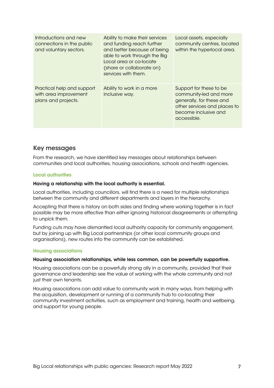| Introductions and new<br>connections in the public<br>and voluntary sectors. | Ability to make their services<br>and funding reach further<br>and better because of being<br>able to work through the Big<br>Local area or co-locate<br>(share or collaborate on)<br>services with them. | Local assets, especially<br>community centres, located<br>within the hyperlocal area.                                                                |
|------------------------------------------------------------------------------|-----------------------------------------------------------------------------------------------------------------------------------------------------------------------------------------------------------|------------------------------------------------------------------------------------------------------------------------------------------------------|
| Practical help and support<br>with area improvement<br>plans and projects.   | Ability to work in a more<br>inclusive way.                                                                                                                                                               | Support for these to be<br>community-led and more<br>generally, for these and<br>other services and places to<br>become inclusive and<br>accessible. |

### Key messages

From the research, we have identified key messages about relationships between communities and local authorities, housing associations, schools and health agencies.

#### Local authorities

#### Having a relationship with the local authority is essential.

Local authorities, including councillors, will find there is a need for multiple relationships between the community and different departments and layers in the hierarchy.

Accepting that there is history on both sides and finding where working together is in fact possible may be more effective than either ignoring historical disagreements or attempting to unpick them.

Funding cuts may have dismantled local authority capacity for community engagement, but by joining up with Big Local partnerships (or other local community groups and organisations), new routes into the community can be established.

#### Housing associations

#### Housing association relationships, while less common, can be powerfully supportive.

Housing associations can be a powerfully strong ally in a community, provided that their governance and leadership see the value of working with the whole community and not just their own tenants.

Housing associations can add value to community work in many ways, from helping with the acquisition, development or running of a community hub to co-locating their community investment activities, such as employment and training, health and wellbeing, and support for young people.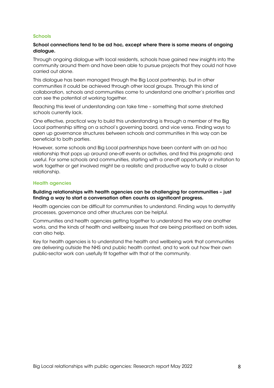#### **Schools**

#### School connections tend to be ad hoc, except where there is some means of ongoing dialogue.

Through ongoing dialogue with local residents, schools have gained new insights into the community around them and have been able to pursue projects that they could not have carried out alone.

This dialogue has been managed through the Big Local partnership, but in other communities it could be achieved through other local groups. Through this kind of collaboration, schools and communities come to understand one another's priorities and can see the potential of working together.

Reaching this level of understanding can take time – something that some stretched schools currently lack.

One effective, practical way to build this understanding is through a member of the Big Local partnership sitting on a school's governing board, and vice versa. Finding ways to open up governance structures between schools and communities in this way can be beneficial to both parties.

However, some schools and Big Local partnerships have been content with an ad hoc relationship that pops up around one-off events or activities, and find this pragmatic and useful. For some schools and communities, starting with a one-off opportunity or invitation to work together or get involved might be a realistic and productive way to build a closer relationship.

#### Health agencies

Building relationships with health agencies can be challenging for communities – just finding a way to start a conversation often counts as significant progress.

Health agencies can be difficult for communities to understand. Finding ways to demystify processes, governance and other structures can be helpful.

Communities and health agencies getting together to understand the way one another works, and the kinds of health and wellbeing issues that are being prioritised on both sides, can also help.

Key for health agencies is to understand the health and wellbeing work that communities are delivering outside the NHS and public health context, and to work out how their own public-sector work can usefully fit together with that of the community.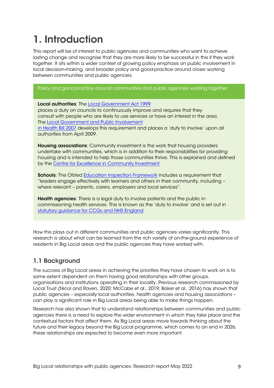# <span id="page-8-0"></span>1. Introduction

This report will be of interest to public agencies and communities who want to achieve lasting change and recognise that they are more likely to be successful in this if they work together. It sits within a wider context of growing policy emphasis on public involvement in local decision-making, and broader policy and good-practice around closer working between communities and public agencies.

Policy and good practice around communities and public agencies working together

#### Local authorities: The Local [Government](https://www.legislation.gov.uk/ukpga/1999/27/contents) Act 1999

places a duty on councils to continuously improve and requires that they consult with people who are likely to use services or have an interest in the area. The Local Government [and Public Involvement](https://www.legislation.gov.uk/ukpga/2007/28/contents) 

in [Health](https://www.legislation.gov.uk/ukpga/2007/28/contents) Bill 2007 develops this requirement and places a 'duty to involve' upon all authorities from April 2009.

Housing associations: Community investment is the work that housing providers undertake with communities, which is in addition to their responsibilities for providing housing and is intended to help those communities thrive. This is explained and defined by the [Centre for Excellence in Community Investment.](https://www.ceci.org.uk/what-is-community-investment/)

Schools: The Ofsted [Education Inspection Framework](https://www.gov.uk/government/publications/education-inspection-framework/education-inspection-framework) includes a requirement that "leaders engage effectively with learners and others in their community, including – where relevant – parents, carers, employers and local services".

Health agencies: There is a legal duty to involve patients and the public in commissioning health services. This is known as the 'duty to involve' and is set out in [statutory guidance for CCGs and NHS England.](https://www.england.nhs.uk/publication/patient-and-public-participation-in-commissioning-health-and-care-statutory-guidance-for-ccgs-and-nhs-england/)

How this plays out in different communities and public agencies varies significantly. This research is about what can be learned from the rich variety of on-the-ground experience of residents in Big Local areas and the public agencies they have worked with.

# <span id="page-8-1"></span>1.1 Background

The success of Big Local areas in achieving the priorities they have chosen to work on is to some extent dependent on them having good relationships with other groups, organisations and institutions operating in their locality. Previous research commissioned by Local Trust (Nicol and Raven, 2020; McCabe et al., 2019; Baker et al., 2016) has shown that public agencies – especially local authorities, health agencies and housing associations – can play a significant role in Big Local areas being able to make things happen.

<span id="page-8-2"></span>Research has also shown that to understand relationships between communities and public agencies there is a need to explore the wider environment in which they take place and the contextual factors that affect them. As Big Local areas move towards thinking about the future and their legacy beyond the Big Local programme, which comes to an end in 2026, these relationships are expected to become even more important.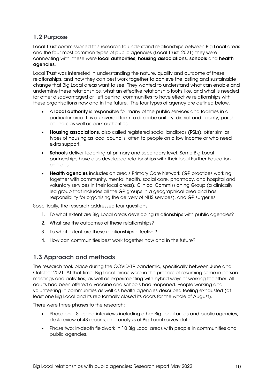# 1.2 Purpose

Local Trust commissioned this research to understand relationships between Big Local areas and the four most common types of public agencies (Local Trust, 2021) they were connecting with: these were local authorities, housing associations, schools and health agencies.

Local Trust was interested in understanding the nature, quality and outcome of these relationships, and how they can best work together to achieve the lasting and sustainable change that Big Local areas want to see. They wanted to understand what can enable and undermine these relationships, what an effective relationship looks like, and what is needed for other disadvantaged or 'left behind' communities to have effective relationships with these organisations now and in the future. The four types of agency are defined below.

- A local authority is responsible for many of the public services and facilities in a particular area. It is a universal term to describe unitary, district and county, parish councils as well as park authorities.
- Housing associations, also called registered social landlords (RSLs), offer similar types of housing as local councils, often to people on a low income or who need extra support.
- Schools deliver teaching at primary and secondary level. Some Big Local partnerships have also developed relationships with their local Further Education colleges.
- Health agencies includes an area's Primary Care Network (GP practices working together with community, mental health, social care, pharmacy, and hospital and voluntary services in their local areas); Clinical Commissioning Group (a clinically led group that includes all the GP groups in a geographical area and has responsibility for organising the delivery of NHS services), and GP surgeries.

Specifically, the research addressed four questions:

- 1. To what extent are Big Local areas developing relationships with public agencies?
- 2. What are the outcomes of these relationships?
- 3. To what extent are these relationships effective?
- 4. How can communities best work together now and in the future?

### <span id="page-9-0"></span>1.3 Approach and methods

The research took place during the COVID-19 pandemic, specifically between June and October 2021. At that time, Big Local areas were in the process of resuming some in-person meetings and activities, as well as experimenting with hybrid ways of working together. All adults had been offered a vaccine and schools had reopened. People working and volunteering in communities as well as health agencies described feeling exhausted (at least one Big Local and its rep formally closed its doors for the whole of August).

There were three phases to the research:

- Phase one: Scoping interviews including other Big Local areas and public agencies, desk review of 48 reports, and analysis of Big Local survey data.
- Phase two: In-depth fieldwork in 10 Big Local areas with people in communities and public agencies.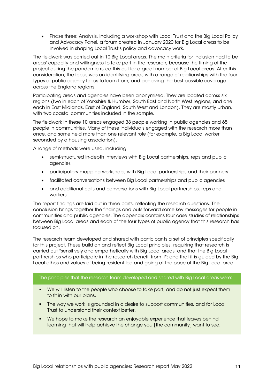• Phase three: Analysis, including a workshop with Local Trust and the Big Local Policy and Advocacy Panel, a forum created in January 2020 for Big Local areas to be involved in shaping Local Trust's policy and advocacy work.

The fieldwork was carried out in 10 Big Local areas. The main criteria for inclusion had to be areas' capacity and willingness to take part in the research, because the timing of the project during the pandemic ruled this out for a great number of Big Local areas. After this consideration, the focus was on identifying areas with a range of relationships with the four types of public agency for us to learn from, and achieving the best possible coverage across the England regions.

Participating areas and agencies have been anonymised. They are located across six regions (two in each of Yorkshire & Humber, South East and North West regions, and one each in East Midlands, East of England, South West and London). They are mostly urban, with two coastal communities included in the sample.

The fieldwork in these 10 areas engaged 38 people working in public agencies and 65 people in communities. Many of these individuals engaged with the research more than once, and some held more than one relevant role (for example, a Big Local worker seconded by a housing association).

A range of methods were used, including:

- semi-structured in-depth interviews with Big Local partnerships, reps and public agencies
- participatory mapping workshops with Big Local partnerships and their partners
- facilitated conversations between Big Local partnerships and public agencies
- and additional calls and conversations with Big Local partnerships, reps and workers.

The report findings are laid out in three parts, reflecting the research questions. The conclusion brings together the findings and puts forward some key messages for people in communities and public agencies. The appendix contains four case studies of relationships between Big Local areas and each of the four types of public agency that this research has focused on.

The research team developed and shared with participants a set of principles specifically for this project. These build on and reflect Big Local principles, requiring that research is carried out "sensitively and empathetically with Big Local areas, and that the Big Local partnerships who participate in the research benefit from it"; and that it is guided by the Big Local ethos and values of being resident-led and going at the pace of the Big Local area.

#### The principles that the research team developed and shared with Big Local areas were:

- We will listen to the people who choose to take part, and do not just expect them to fit in with our plans.
- **The way we work is grounded in a desire to support communities, and for Local** Trust to understand their context better.
- We hope to make the research an enjoyable experience that leaves behind learning that will help achieve the change you [the community] want to see.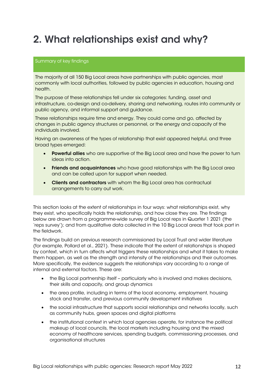# <span id="page-11-0"></span>2. What relationships exist and why?

#### Summary of key findings

The majority of all 150 Big Local areas have partnerships with public agencies, most commonly with local authorities, followed by public agencies in education, housing and health.

The purpose of these relationships fell under six categories: funding, asset and infrastructure, co-design and co-delivery, sharing and networking, routes into community or public agency, and informal support and guidance.

These relationships require time and energy. They could come and go, affected by changes in public agency structures or personnel, or the energy and capacity of the individuals involved.

Having an awareness of the types of relationship that exist appeared helpful, and three broad types emerged:

- **Powerful allies** who are supportive of the Big Local area and have the power to turn ideas into action.
- **Friends and acquaintances** who have good relationships with the Big Local area and can be called upon for support when needed.
- Clients and contractors with whom the Big Local area has contractual arrangements to carry out work.

This section looks at the extent of relationships in four ways: what relationships exist, why they exist, who specifically holds the relationship, and how close they are. The findings below are drawn from a programme-wide survey of Big Local reps in Quarter 1 2021 (the 'reps survey'); and from qualitative data collected in the 10 Big Local areas that took part in the fieldwork.

The findings build on previous research commissioned by Local Trust and wider literature (for example, Pollard et al., 2021). These indicate that the extent of relationships is shaped by context, which in turn affects what triggers these relationships and what it takes to make them happen, as well as the strength and intensity of the relationships and their outcomes. More specifically, the evidence suggests the relationships vary according to a range of internal and external factors. These are:

- the Big Local partnership itself particularly who is involved and makes decisions, their skills and capacity, and group dynamics
- the area profile, including in terms of the local economy, employment, housing stock and transfer, and previous community development initiatives
- the social infrastructure that supports social relationships and networks locally, such as community hubs, green spaces and digital platforms
- the institutional context in which local agencies operate, for instance the political makeup of local councils, the local markets including housing and the mixed economy of healthcare services, spending budgets, commissioning processes, and organisational structures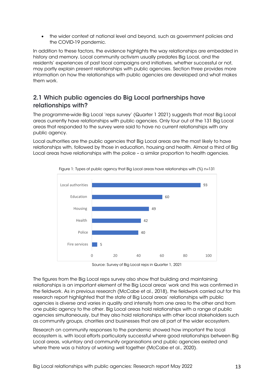• the wider context at national level and beyond, such as government policies and the COVID-19 pandemic.

In addition to these factors, the evidence highlights the way relationships are embedded in history and memory. Local community activism usually predates Big Local, and the residents' experiences of past local campaigns and initiatives, whether successful or not, may partly explain present relationships with public agencies. Section three provides more information on how the relationships with public agencies are developed and what makes them work.

# <span id="page-12-0"></span>2.1 Which public agencies do Big Local partnerships have relationships with?

The programme-wide Big Local 'reps survey' (Quarter 1 2021) suggests that most Big Local areas currently have relationships with public agencies. Only four out of the 131 Big Local areas that responded to the survey were said to have no current relationships with any public agency.

Local authorities are the public agencies that Big Local areas are the most likely to have relationships with, followed by those in education, housing and health. Almost a third of Big Local areas have relationships with the police – a similar proportion to health agencies.



Figure 1: Types of public agency that Big Local areas have relationships with (%) n=131

Source: Survey of Big Local reps in Quarter 1, 2021

The figures from the Big Local reps survey also show that building and maintaining relationships is an important element of the Big Local areas' work and this was confirmed in the fieldwork. As in previous research (McCabe et al., 2018), the fieldwork carried out for this research report highlighted that the state of Big Local areas' relationships with public agencies is diverse and varies in quality and intensity from one area to the other and from one public agency to the other. Big Local areas hold relationships with a range of public agencies simultaneously, but they also hold relationships with other local stakeholders such as community groups, charities and businesses that are all part of the wider ecosystem.

Research on community responses to the pandemic showed how important the local ecosystem is, with local efforts particularly successful where good relationships between Big Local areas, voluntary and community organisations and public agencies existed and where there was a history of working well together (McCabe et al., 2020).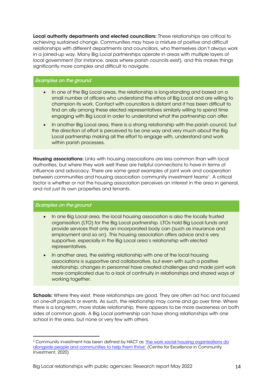Local authority departments and elected councillors: These relationships are critical to achieving sustained change. Communities may have a mixture of positive and difficult relationships with different departments and councillors, who themselves don't always work in a joined-up way. Many Big Local partnerships operate in areas with multiple layers of local government (for instance, areas where parish councils exist), and this makes things significantly more complex and difficult to navigate.

#### Examples on the ground

- In one of the Big Local areas, the relationship is long-standing and based on a small number of officers who understand the ethos of Big Local and are willing to champion its work. Contact with councillors is distant and it has been difficult to find an ally among these elected representatives similarly willing to spend time engaging with Big Local in order to understand what the partnership can offer.
- In another Big Local area, there is a strong relationship with the parish council, but the direction of effort is perceived to be one way and very much about the Big Local partnership making all the effort to engage with, understand and work within parish processes.

Housing associations: Links with housing associations are less common than with local authorities, but where they work well these are helpful connections to have in terms of influence and advocacy. There are some great examples of joint work and cooperation between communities and housing association community investment teams<sup>1</sup>. A critical factor is whether or not the housing association perceives an interest in the area in general, and not just its own properties and tenants.

#### Examples on the ground

- In one Big Local area, the local housing association is also the locally trusted organisation (LTO) for the Big Local partnership. LTOs hold Big Local funds and provide services that only an incorporated body can (such as insurance and employment and so on). This housing association offers advice and is very supportive, especially in the Big Local area's relationship with elected representatives.
- In another area, the existing relationship with one of the local housing associations is supportive and collaborative, but even with such a positive relationship, changes in personnel have created challenges and made joint work more complicated due to a lack of continuity in relationships and shared ways of working together.

Schools: Where they exist, these relationships are good. They are often ad hoc and focused on one-off projects or events. As such, the relationship may come and go over time. Where there is a long-term, more stable relationship, there appears to be more awareness on both sides of common goals. A Big Local partnership can have strong relationships with one school in the area, but none or very few with others.

<span id="page-13-0"></span><sup>1</sup> Community investment has been defined by HACT as ['the work social housing organisations do](https://www.ceci.org.uk/wp-content/uploads/2020/02/CommunityInvestmentIs_v2.pdf)  [alongside people and communities to help them thrive'](https://www.ceci.org.uk/wp-content/uploads/2020/02/CommunityInvestmentIs_v2.pdf) (Centre for Excellence in Community Investment, 2020)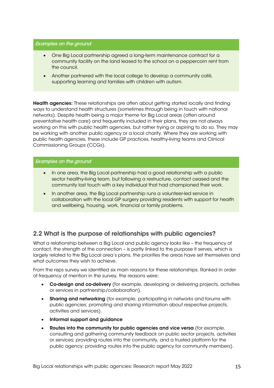#### Examples on the ground

- One Big Local partnership agreed a long-term maintenance contract for a community facility on the land leased to the school on a peppercorn rent from the council.
- Another partnered with the local college to develop a community café, supporting learning and families with children with autism.

Health agencies: These relationships are often about getting started locally and finding ways to understand health structures (sometimes through being in touch with national networks). Despite health being a major theme for Big Local areas (often around preventative health care) and frequently included in their plans, they are not always working on this with public health agencies, but rather trying or aspiring to do so. They may be working with another public agency or a local charity. Where they are working with public health agencies, these include GP practices, healthy-living teams and Clinical Commissioning Groups (CCGs).

#### Examples on the ground

- In one area, the Big Local partnership had a good relationship with a public sector healthy-living team, but following a restructure, contact ceased and the community lost touch with a key individual that had championed their work.
- In another area, the Big Local partnership runs a volunteer-led service in collaboration with the local GP surgery providing residents with support for health and wellbeing, housing, work, financial or family problems.

# <span id="page-14-0"></span>2.2 What is the purpose of relationships with public agencies?

What a relationship between a Big Local and public agency looks like – the frequency of contact, the strength of the connection – is partly linked to the purpose it serves, which is largely related to the Big Local area's plans, the priorities the areas have set themselves and what outcomes they wish to achieve.

From the reps survey we identified six main reasons for these relationships. Ranked in order of frequency of mention in the survey, the reasons were:

- Co-design and co-delivery (for example, developing or delivering projects, activities or services in partnership/collaboration).
- Sharing and networking (for example, participating in networks and forums with public agencies; promoting and sharing information about respective projects, activities and services).
- Informal support and guidance
- Routes into the community for public agencies and vice versa (for example, consulting and gathering community feedback on public sector projects, activities or services; providing routes into the community, and a trusted platform for the public agency; providing routes into the public agency for community members).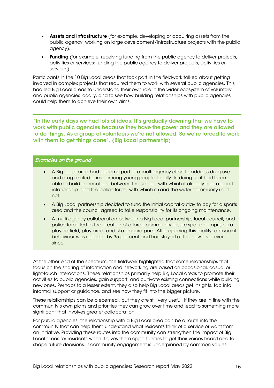- Assets and infrastructure (for example, developing or acquiring assets from the public agency; working on large development/infrastructure projects with the public agency).
- Funding (for example, receiving funding from the public agency to deliver projects, activities or services; funding the public agency to deliver projects, activities or services).

Participants in the 10 Big Local areas that took part in the fieldwork talked about getting involved in complex projects that required them to work with several public agencies. This had led Big Local areas to understand their own role in the wider ecosystem of voluntary and public agencies locally, and to see how building relationships with public agencies could help them to achieve their own aims.

"In the early days we had lots of ideas. It's gradually dawning that we have to work with public agencies because they have the power and they are allowed to do things. As a group of volunteers we're not allowed. So we're forced to work with them to get things done". (Big Local partnership)

#### Examples on the ground

- A Big Local area had become part of a multi-agency effort to address drug use and drug-related crime among young people locally. In doing so it had been able to build connections between the school, with which it already had a good relationship, and the police force, with which it (and the wider community) did not.
- A Big Local partnership decided to fund the initial capital outlay to pay for a sports area and the council agreed to take responsibility for its ongoing maintenance.
- A multi-agency collaboration between a Big Local partnership, local council, and police force led to the creation of a large community leisure space comprising a playing field, play area, and skateboard park. After opening this facility, antisocial behaviour was reduced by 35 per cent and has stayed at the new level ever since.

At the other end of the spectrum, the fieldwork highlighted that some relationships that focus on the sharing of information and networking are based on occasional, casual or light-touch interactions. These relationships primarily help Big Local areas to promote their activities to public agencies, gain support, and cultivate existing connections while building new ones. Perhaps to a lesser extent, they also help Big Local areas get insights, tap into informal support or guidance, and see how they fit into the bigger picture.

These relationships can be piecemeal, but they are still very useful. If they are in line with the community's own plans and priorities they can grow over time and lead to something more significant that involves greater collaboration.

For public agencies, the relationship with a Big Local area can be a route into the community that can help them understand what residents think of a service or want from an initiative. Providing these routes into the community can strengthen the impact of Big Local areas for residents when it gives them opportunities to get their voices heard and to shape future decisions. If community engagement is underpinned by common values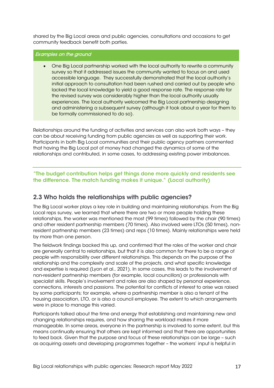shared by the Big Local areas and public agencies, consultations and occasions to get community feedback benefit both parties.

#### Examples on the ground

• One Big Local partnership worked with the local authority to rewrite a community survey so that it addressed issues the community wanted to focus on and used accessible language. They successfully demonstrated that the local authority's initial approach to consultation had been rushed and carried out by people who lacked the local knowledge to yield a good response rate. The response rate for the revised survey was considerably higher than the local authority usually experiences. The local authority welcomed the Big Local partnership designing and administering a subsequent survey (although it took about a year for them to be formally commissioned to do so).

Relationships around the funding of activities and services can also work both ways – they can be about receiving funding from public agencies as well as supporting their work. Participants in both Big Local communities and their public agency partners commented that having the Big Local pot of money had changed the dynamics of some of the relationships and contributed, in some cases, to addressing existing power imbalances.

"The budget contribution helps get things done more quickly and residents see the difference. The match funding makes it unique." (Local authority)

### <span id="page-16-0"></span>2.3 Who holds the relationships with public agencies?

The Big Local worker plays a key role in building and maintaining relationships. From the Big Local reps survey, we learned that where there are two or more people holding these relationships, the worker was mentioned the most (99 times) followed by the chair (90 times) and other resident partnership members (70 times). Also involved were LTOs (50 times), nonresident partnership members (23 times) and reps (10 times). Mainly relationships were held by more than one person.

The fieldwork findings backed this up, and confirmed that the roles of the worker and chair are generally central to relationships, but that it is also common for there to be a range of people with responsibility over different relationships. This depends on the purpose of the relationship and the complexity and scale of the projects, and what specific knowledge and expertise is required (Lyon et al., 2021). In some cases, this leads to the involvement of non-resident partnership members (for example, local councillors) or professionals with specialist skills. People's involvement and roles are also shaped by personal experience, connections, interests and passions. The potential for conflicts of interest to arise was raised by some participants; for example, where a partnership member is also a tenant of the housing association, LTO, or is also a council employee. The extent to which arrangements were in place to manage this varied.

Participants talked about the time and energy that establishing and maintaining new and changing relationships requires, and how sharing the workload makes it more manageable. In some areas, everyone in the partnership is involved to some extent, but this means continually ensuring that others are kept informed and that there are opportunities to feed back. Given that the purpose and focus of these relationships can be large – such as acquiring assets and developing programmes together – the workers' input is helpful in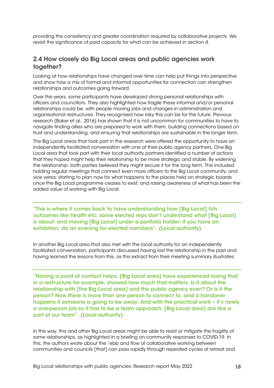providing the consistency and greater coordination required by collaborative projects. We revisit the significance of paid capacity for what can be achieved in section 4.

# <span id="page-17-0"></span>2.4 How closely do Big Local areas and public agencies work together?

Looking at how relationships have changed over time can help put things into perspective and show how a mix of formal and informal opportunities for connection can strengthen relationships and outcomes going forward.

Over the years, some participants have developed strong personal relationships with officers and councillors. They also highlighted how fragile these informal and/or personal relationships could be, with people moving jobs and changes in administration and organisational restructures. They recognised how risky this can be for the future. Previous research (Baker et al., 2016) has shown that it is not uncommon for communities to have to navigate finding allies who are prepared to work with them, building connections based on trust and understanding, and ensuring that relationships are sustainable in the longer term.

The Big Local areas that took part in the research were offered the opportunity to have an independently facilitated conversation with one of their public agency partners. One Big Local area that took part with their local authority partners identified a number of actions that they hoped might help their relationship to be more strategic and stable. By widening the relationship, both parties believed they might secure it for the long term. This included holding regular meetings that connect even more officers to the Big Local community, and vice versa; starting to plan now for what happens to the places held on strategic boards once the Big Local programme ceases to exist; and raising awareness of what has been the added value of working with Big Local.

"This is where it comes back to have understanding how [Big Local] hits outcomes like health etc; some elected reps don't understand what [Big Local] is about; and moving [Big Local] under a portfolio holder; if you have an exhibition, do an evening for elected members". (Local authority)

In another Big Local area that also met with the local authority for an independently facilitated conversation, participants discussed having lost the relationship in the past and having learned the lessons from this, as this extract from their meeting summary illustrates:

"Having a point of contact helps, [Big Local area] have experienced losing that in a restructure for example, showed how much that matters. Is it about the relationship with [the Big Local area] and the public agency even? Or is it the person? Now there is more than one person to connect to, and a handover happens if someone is going to be away. And with the practical work - it's rarely a one-person job so it has to be a team approach. [Big Local area] are like a part of our team". (Local authority)

In this way, this and other Big Local areas might be able to resist or mitigate the fragility of some relationships, as highlighted in a briefing on community responses to COVID-19. In this, the authors wrote about the "ebb and flow of collaborative working between communities and councils [that] can pass rapidly through repeated cycles of retreat and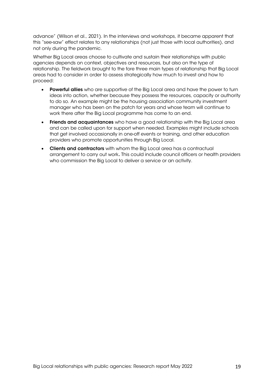advance" (Wilson et al., 2021). In the interviews and workshops, it became apparent that this "see-saw" effect relates to any relationships (not just those with local authorities), and not only during the pandemic.

Whether Big Local areas choose to cultivate and sustain their relationships with public agencies depends on context, objectives and resources, but also on the type of relationship. The fieldwork brought to the fore three main types of relationship that Big Local areas had to consider in order to assess strategically how much to invest and how to proceed:

- Powerful allies who are supportive of the Big Local area and have the power to turn ideas into action, whether because they possess the resources, capacity or authority to do so. An example might be the housing association community investment manager who has been on the patch for years and whose team will continue to work there after the Big Local programme has come to an end.
- Friends and acquaintances who have a good relationship with the Big Local area and can be called upon for support when needed. Examples might include schools that get involved occasionally in one-off events or training, and other education providers who promote opportunities through Big Local.
- Clients and contractors with whom the Big Local area has a contractual arrangement to carry out work. This could include council officers or health providers who commission the Big Local to deliver a service or an activity.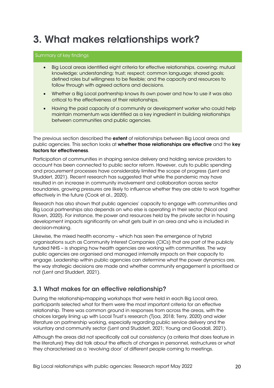# <span id="page-19-0"></span>3. What makes relationships work?

#### Summary of key findings

- Big Local areas identified eight criteria for effective relationships, covering: mutual knowledge; understanding; trust; respect; common language; shared goals; defined roles but willingness to be flexible; and the capacity and resources to follow through with agreed actions and decisions.
- Whether a Big Local partnership knows its own power and how to use it was also critical to the effectiveness of their relationships.
- Having the paid capacity of a community or development worker who could help maintain momentum was identified as a key ingredient in building relationships between communities and public agencies.

The previous section described the extent of relationships between Big Local areas and public agencies. This section looks at whether those relationships are effective and the key factors for effectiveness.

Participation of communities in shaping service delivery and holding service providers to account has been connected to public sector reform. However, cuts to public spending and procurement processes have considerably limited the scope of progress (Lent and Studdert, 2021). Recent research has suggested that while the pandemic may have resulted in an increase in community involvement and collaboration across sector boundaries, growing pressures are likely to influence whether they are able to work together effectively in the future (Cook et al., 2020).

Research has also shown that public agencies' capacity to engage with communities and Big Local partnerships also depends on who else is operating in their sector (Nicol and Raven, 2020). For instance, the power and resources held by the private sector in housing development impacts significantly on what gets built in an area and who is included in decision-making.

Likewise, the mixed health economy – which has seen the emergence of hybrid organisations such as Community Interest Companies (CICs) that are part of the publicly funded NHS – is shaping how health agencies are working with communities. The way public agencies are organised and managed internally impacts on their capacity to engage. Leadership within public agencies can determine what the power dynamics are, the way strategic decisions are made and whether community engagement is prioritised or not (Lent and Studdert, 2021).

# <span id="page-19-1"></span>3.1 What makes for an effective relationship?

During the relationship-mapping workshops that were held in each Big Local area, participants selected what for them were the most important criteria for an effective relationship. There was common ground in responses from across the areas, with the choices largely lining up with Local Trust's research (Tjoa, 2018; Terry, 2020) and wider literature on partnership working, especially regarding public service delivery and the voluntary and community sector (Lent and Studdert, 2021; Young and Goodall, 2021).

Although the areas did not specifically call out consistency (a criteria that does feature in the literature) they did talk about the effects of changes in personnel, restructures or what they characterised as a 'revolving door' of different people coming to meetings.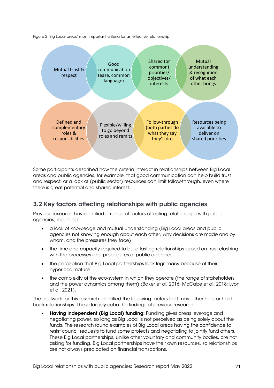Figure 2: Big Local areas' most important criteria for an effective relationship



Some participants described how the criteria interact in relationships between Big Local areas and public agencies; for example, that good communication can help build trust and respect, or a lack of (public sector) resources can limit follow-through, even where there is great potential and shared interest.

# <span id="page-20-0"></span>3.2 Key factors affecting relationships with public agencies

Previous research has identified a range of factors affecting relationships with public agencies, including:

- a lack of knowledge and mutual understanding (Big Local areas and public agencies not knowing enough about each other, why decisions are made and by whom, and the pressures they face)
- the time and capacity required to build lasting relationships based on trust clashing with the processes and procedures of public agencies
- the perception that Big Local partnerships lack legitimacy because of their hyperlocal nature
- the complexity of the eco-system in which they operate (the range of stakeholders and the power dynamics among them) (Baker et al, 2016; McCabe et al, 2018; Lyon et al, 2021).

The fieldwork for this research identified the following factors that may either help or hold back relationships. These largely echo the findings of previous research.

• Having independent (Big Local) funding: Funding gives areas leverage and negotiating power, so long as Big Local is not perceived as being solely about the funds. The research found examples of Big Local areas having the confidence to resist council requests to fund some projects and negotiating to jointly fund others. These Big Local partnerships, unlike other voluntary and community bodies, are not asking for funding. Big Local partnerships have their own resources, so relationships are not always predicated on financial transactions.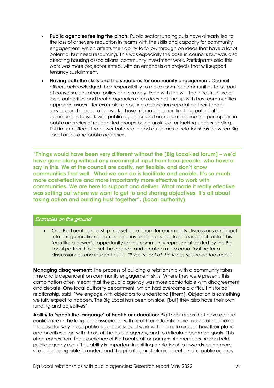- Public agencies feeling the pinch: Public sector funding cuts have already led to the loss of or severe reduction in teams with the skills and capacity for community engagement, which affects their ability to follow through on ideas that have a lot of potential but need resourcing. This was especially the case in councils but was also affecting housing associations' community investment work. Participants said this work was more project-oriented, with an emphasis on projects that will support tenancy sustainment.
- Having both the skills and the structures for community engagement: Council officers acknowledged their responsibility to make room for communities to be part of conversations about policy and strategy. Even with the will, the infrastructure of local authorities and health agencies often does not line up with how communities approach issues – for example, a housing association separating their tenant services and regeneration work. These mismatches can limit the potential for communities to work with public agencies and can also reinforce the perception in public agencies of resident-led groups being unskilled, or lacking understanding. This in turn affects the power balance in and outcomes of relationships between Big Local areas and public agencies.

"Things would have been very different without the [Big Local-led forum] – we'd have gone along without any meaningful input from local people, who have a say in this. We at the council are costly, not flexible, and don't know communities that well. What we can do is facilitate and enable. It's so much more cost-effective and more importantly more effective to work with communities. We are here to support and deliver. What made it really effective was setting out where we want to get to and sharing objectives. It's all about taking action and building trust together". (Local authority)

#### Examples on the ground

• One Big Local partnership has set up a forum for community discussions and input into a regeneration scheme – and invited the council to sit round that table. This feels like a powerful opportunity for the community representatives led by the Big Local partnership to set the agenda and create a more equal footing for a discussion: as one resident put it, *"If you're not at the table, you're on the menu".*

Managing disagreement: The process of building a relationship with a community takes time and is dependent on community engagement skills. Where they were present, this combination often meant that the public agency was more comfortable with disagreement and debate. One local authority department, which had overcome a difficult historical relationship, said: "We engage with objectors to understand [them]. Objection is something we fully expect to happen. The Big Local has been on side, [but] they also have their own funding and objectives".

Ability to 'speak the language' of health or education: Big Local areas that have gained confidence in the language associated with health or education are more able to make the case for why these public agencies should work with them, to explain how their plans and priorities align with those of the public agency, and to articulate common goals. This often comes from the experience of Big Local staff or partnership members having held public agency roles. This ability is important in shifting a relationship towards being more strategic; being able to understand the priorities or strategic direction of a public agency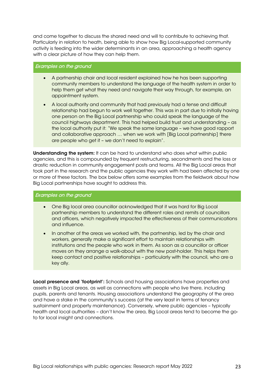and come together to discuss the shared need and will to contribute to achieving that. Particularly in relation to heath, being able to show how Big Local-supported community activity is feeding into the wider determinants in an area, approaching a health agency with a clear picture of how they can help them.

#### Examples on the ground

- A partnership chair and local resident explained how he has been supporting community members to understand the language of the health system in order to help them get what they need and navigate their way through, for example, an appointment system.
- A local authority and community that had previously had a tense and difficult relationship had begun to work well together. This was in part due to initially having one person on the Big Local partnership who could speak the language of the council highways department. This had helped build trust and understanding – as the local authority put it: "We speak the same language – we have good rapport and collaborative approach … when we work with [Big Local partnership] there are people who get it – we don't need to explain".

Understanding the system: It can be hard to understand who does what within public agencies, and this is compounded by frequent restructuring, secondments and the loss or drastic reduction in community engagement posts and teams. All the Big Local areas that took part in the research and the public agencies they work with had been affected by one or more of these factors. The box below offers some examples from the fieldwork about how Big Local partnerships have sought to address this.

#### Examples on the ground

- One Big local area councillor acknowledged that it was hard for Big Local partnership members to understand the different roles and remits of councillors and officers, which negatively impacted the effectiveness of their communications and influence.
- In another of the areas we worked with, the partnership, led by the chair and workers, generally make a significant effort to maintain relationships with institutions and the people who work in them. As soon as a councillor or officer moves on they arrange a walk-about with the new post-holder. This helps them keep contact and positive relationships – particularly with the council, who are a key ally.

Local presence and 'footprint': Schools and housing associations have properties and assets in Big Local areas, as well as connections with people who live there, including pupils, parents and tenants. Housing associations understand the geography of the area and have a stake in the community's success (at the very least in terms of tenancy sustainment and property maintenance). Conversely, where public agencies – typically health and local authorities – don't know the area, Big Local areas tend to become the goto for local insight and connections.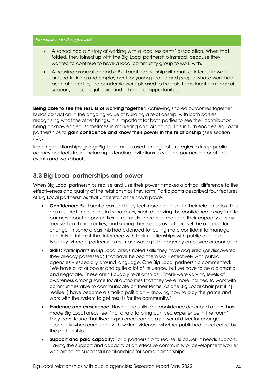#### Examples on the ground

- A school had a history of working with a local residents' association. When that folded, they joined up with the Big Local partnership instead, because they wanted to continue to have a local community group to work with.
- A housing association and a Big Local partnership with mutual interest in work around training and employment for young people and people whose work had been affected by the pandemic were pleased to be able to co-locate a range of support, including job fairs and other local opportunities.

Being able to see the results of working together: Achieving shared outcomes together builds conviction in the ongoing value of building a relationship, with both parties recognising what the other brings. It is important for both parties to see their contribution being acknowledged, sometimes in marketing and branding. This in turn enables Big Local partnerships to gain confidence and know their power in the relationship (see section 3.3).

Keeping relationships going: Big Local areas used a range of strategies to keep public agency contacts fresh, including extending invitations to visit the partnership or attend events and walkabouts.

# <span id="page-23-0"></span>3.3 Big Local partnerships and power

When Big Local partnerships realise and use their power it makes a critical difference to the effectiveness and quality of the relationships they form. Participants described four features of Big Local partnerships that understand their own power:

- Confidence: Big Local areas said they feel more confident in their relationships. This has resulted in changes in behaviours, such as having the confidence to say 'no' to partners about opportunities or requests in order to manage their capacity or stay focused on their priorities; and seeing themselves as helping set the agenda for change. In some areas this had extended to feeling more confident to manage conflicts of interest that interfered with their relationships with public agencies, typically where a partnership member was a public agency employee or councillor.
- Skills: Participants in Big Local areas noted skills they have acquired (or discovered they already possessed) that have helped them work effectively with public agencies – especially around language. One Big Local partnership commented: "We have a lot of power and quite a lot of influence, but we have to be diplomatic and negotiate. These aren't cuddly relationships". There were varying levels of awareness among some local authorities that they were more inclined to work with communities able to communicate on their terms. As one Big Local chair put it: "[I realise I] have become a small-p politician – knowing how to play the game and work with the system to get results for the community."
- Evidence and experience: Having the skills and confidence described above has made Big Local areas feel "not afraid to bring our lived experience in the room". They have found that lived experience can be a powerful driver for change, especially when combined with wider evidence, whether published or collected by the partnership.
- **Support and paid capacity:** For a partnership to realise its power, it needs support. Having the support and capacity of an effective community or development worker was critical to successful relationships for some partnerships.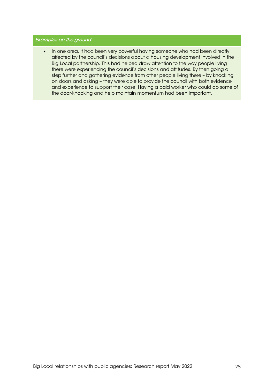#### Examples on the ground

• In one area, it had been very powerful having someone who had been directly affected by the council's decisions about a housing development involved in the Big Local partnership. This had helped draw attention to the way people living there were experiencing the council's decisions and attitudes. By then going a step further and gathering evidence from other people living there – by knocking on doors and asking – they were able to provide the council with both evidence and experience to support their case. Having a paid worker who could do some of the door-knocking and help maintain momentum had been important.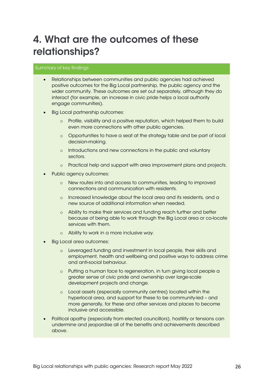# <span id="page-25-0"></span>4. What are the outcomes of these relationships?

#### Summary of key findings

- Relationships between communities and public agencies had achieved positive outcomes for the Big Local partnership, the public agency and the wider community. These outcomes are set out separately, although they do interact (for example, an increase in civic pride helps a local authority engage communities).
- Big Local partnership outcomes:
	- o Profile, visibility and a positive reputation, which helped them to build even more connections with other public agencies.
	- o Opportunities to have a seat at the strategy table and be part of local decision-making.
	- o Introductions and new connections in the public and voluntary sectors.
	- o Practical help and support with area improvement plans and projects.
- Public agency outcomes:
	- o New routes into and access to communities, leading to improved connections and communication with residents.
	- o Increased knowledge about the local area and its residents, and a new source of additional information when needed.
	- o Ability to make their services and funding reach further and better because of being able to work through the Big Local area or co-locate services with them.
	- o Ability to work in a more inclusive way.
- Big Local area outcomes:
	- o Leveraged funding and investment in local people, their skills and employment, health and wellbeing and positive ways to address crime and anti-social behaviour.
	- o Putting a human face to regeneration, in turn giving local people a greater sense of civic pride and ownership over large-scale development projects and change.
	- o Local assets (especially community centres) located within the hyperlocal area, and support for these to be community-led – and more generally, for these and other services and places to become inclusive and accessible.
- Political apathy (especially from elected councillors), hostility or tensions can undermine and jeopardise all of the benefits and achievements described above.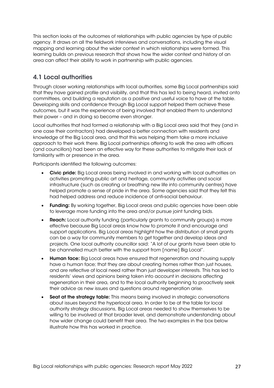This section looks at the outcomes of relationships with public agencies by type of public agency. It draws on all the fieldwork interviews and conversations, including the visual mapping and learning about the wider context in which relationships were formed. This learning builds on previous research that shows how the wider context and history of an area can affect their ability to work in partnership with public agencies.

# <span id="page-26-0"></span>4.1 Local authorities

Through closer working relationships with local authorities, some Big Local partnerships said that they have gained profile and visibility, and that this has led to being heard, invited onto committees, and building a reputation as a positive and useful voice to have at the table. Developing skills and confidence through Big Local support helped them achieve these outcomes, but it was the experience of being involved that enabled them to understand their power – and in doing so become even stronger.

Local authorities that had formed a relationship with a Big Local area said that they (and in one case their contractors) had developed a better connection with residents and knowledge of the Big Local area, and that this was helping them take a more inclusive approach to their work there. Big Local partnerships offering to walk the area with officers (and councillors) had been an effective way for these authorities to mitigate their lack of familiarity with or presence in the area.

Participants identified the following outcomes:

- Civic pride: Big Local areas being involved in and working with local authorities on activities promoting public art and heritage, community activities and social infrastructure (such as creating or breathing new life into community centres) have helped promote a sense of pride in the area. Some agencies said that they felt this had helped address and reduce incidence of anti-social behaviour.
- Funding: By working together, Big Local areas and public agencies have been able to leverage more funding into the area and/or pursue joint funding bids.
- Reach: Local authority funding (particularly grants to community groups) is more effective because Big Local areas know how to promote it and encourage and support applications. Big Local areas highlight how the distribution of small grants can be a way for community members to get together and develop ideas and projects. One local authority councillor said: "A lot of our grants have been able to be channelled much better with the support from [name] Big Local".
- **Human face:** Big Local areas have ensured that regeneration and housing supply have a human face; that they are about creating homes rather than just houses, and are reflective of local need rather than just developer interests. This has led to residents' views and opinions being taken into account in decisions affecting regeneration in their area, and to the local authority beginning to proactively seek their advice as new issues and questions around regeneration arise.
- Seat at the strategy table: This means being involved in strategic conversations about issues beyond the hyperlocal area. In order to be at the table for local authority strategy discussions, Big Local areas needed to show themselves to be willing to be involved at that broader level, and demonstrate understanding about how wider change could benefit their area. The two examples in the box below illustrate how this has worked in practice.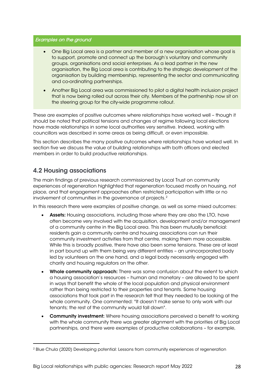#### Examples on the ground

- One Big Local area is a partner and member of a new organisation whose goal is to support, promote and connect up the borough's voluntary and community groups, organisations and social enterprises. As a lead partner in the new organisation, the Big Local area is contributing to the strategic development of the organisation by building membership, representing the sector and communicating and co-ordinating partnerships.
- Another Big Local area was commissioned to pilot a digital health inclusion project that is now being rolled out across their city. Members of the partnership now sit on the steering group for the city-wide programme rollout.

These are examples of positive outcomes where relationships have worked well – though it should be noted that political tensions and changes of regime following local elections have made relationships in some local authorities very sensitive. Indeed, working with councillors was described in some areas as being difficult, or even impossible.

This section describes the many positive outcomes where relationships have worked well. In section five we discuss the value of building relationships with both officers and elected members in order to build productive relationships.

# <span id="page-27-0"></span>4.2 Housing associations

The main findings of previous research commissioned by Local Trust on community experiences of regeneration highlighted that regeneration focused mostly on housing, not place, and that engagement approaches often restricted participation with little or no involvement of communities in the governance of projects.[2](#page-27-1)

In this research there were examples of positive change, as well as some mixed outcomes:

- Assets: Housing associations, including those where they are also the LTO, have often become very involved with the acquisition, development and/or management of a community centre in the Big Local area. This has been mutually beneficial: residents gain a community centre and housing associations can run their community investment activities from that centre, making them more accessible. While this is broadly positive, there have also been some tensions. These are at least in part bound up with them being very different entities – an unincorporated body led by volunteers on the one hand, and a legal body necessarily engaged with charity and housing regulators on the other.
- Whole community approach: There was some confusion about the extent to which a housing association's resources – human and monetary – are allowed to be spent in ways that benefit the whole of the local population and physical environment rather than being restricted to their properties and tenants. Some housing associations that took part in the research felt that they needed to be looking at the whole community. One commented: "It doesn't make sense to only work with our tenants; the rest of the community would fall down".
- Community investment: Where housing associations perceived a benefit to working with the whole community there was greater alignment with the priorities of Big Local partnerships, and there were examples of productive collaborations – for example,

<span id="page-27-1"></span><sup>2</sup> Blue Chula (2020) Developing potential: Lessons from community experiences of regeneration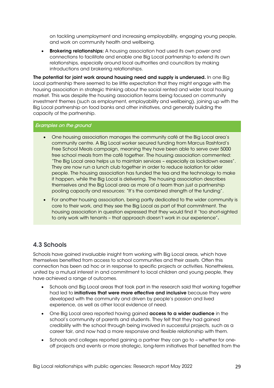on tackling unemployment and increasing employability, engaging young people, and work on community health and wellbeing.

• Brokering relationships: A housing association had used its own power and connections to facilitate and enable one Big Local partnership to extend its own relationships, especially around local authorities and councillors by making introductions and brokering relationships.

The potential for joint work around housing need and supply is underused. In one Big Local partnership there seemed to be little expectation that they might engage with the housing association in strategic thinking about the social rented and wider local housing market. This was despite the housing association teams being focused on community investment themes (such as employment, employability and wellbeing), joining up with the Big Local partnership on food banks and other initiatives, and generally building the capacity of the partnership.

#### Examples on the ground

- One housing association manages the community café at the Big Local area's community centre. A Big Local worker secured funding from Marcus Rashford's Free School Meals campaign, meaning they have been able to serve over 5000 free school meals from the café together. The housing association commented: "The Big Local area helps us to maintain services – especially as lockdown eases"*.* They are now run a lunch club together in order to reduce isolation for older people. The housing association has funded the tea and the technology to make it happen, while the Big Local is delivering. The housing association describes themselves and the Big Local area as more of a team than just a partnership pooling capacity and resources: "It's the combined strength of the funding".
- For another housing association, being partly dedicated to the wider community is core to their work, and they see the Big Local as part of that commitment. The housing association in question expressed that they would find it "too short-sighted to only work with tenants – that approach doesn't work in our experience".

### <span id="page-28-0"></span>4.3 Schools

Schools have gained invaluable insight from working with Big Local areas, which have themselves benefited from access to school communities and their assets. Often this connection has been ad hoc or in response to specific projects or activities. Nonetheless, united by a mutual interest in and commitment to local children and young people, they have achieved a range of outcomes.

- Schools and Big Local areas that took part in the research said that working together had led to initiatives that were more effective and inclusive because they were developed with the community and driven by people's passion and lived experience, as well as other local evidence of need.
- One Big Local area reported having gained **access to a wider audience** in the school's community of parents and students. They felt that they had gained credibility with the school through being involved in successful projects, such as a career fair, and now had a more responsive and flexible relationship with them.
- Schools and colleges reported gaining a partner they can go to whether for oneoff projects and events or more strategic, long-term initiatives that benefited from the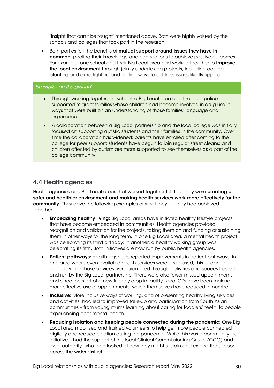'insight that can't be taught' mentioned above. Both were highly valued by the schools and colleges that took part in the research.

Both parties felt the benefits of mutual support around issues they have in common, pooling their knowledge and connections to achieve positive outcomes. For example, one school and their Big Local area had worked together to *improve* the local environment through jointly undertaking projects, including adding planting and extra lighting and finding ways to address issues like fly tipping.

#### Examples on the ground

- Through working together, a school, a Big Local area and the local police supported migrant families whose children had become involved in drug use in ways that were built on an understanding of those families' language and experience.
- A collaboration between a Big Local partnership and the local college was initially focused on supporting autistic students and their families in the community. Over time the collaboration has widened: parents have enrolled after coming to the college for peer support; students have begun to join regular street cleans; and children affected by autism are more supported to see themselves as a part of the college community.

### <span id="page-29-0"></span>4.4 Health agencies

Health agencies and Big Local areas that worked together felt that they were creating a safer and healthier environment and making health services work more effectively for the community. They gave the following examples of what they felt they had achieved together.

- **Embedding healthy living:** Big Local areas have initiated healthy lifestyle projects that have become embedded in communities. Health agencies provided recognition and validation for the projects, taking them on and funding or sustaining them in other ways for the long term. In one Big Local area, a mental health project was celebrating its third birthday; in another, a healthy walking group was celebrating its fifth. Both initiatives are now run by public health agencies.
- Patient pathways: Health agencies reported improvements in patient pathways. In one area where even available health services were underused, this began to change when those services were promoted through activities and spaces hosted and run by the Big Local partnership. There were also fewer missed appointments, and since the start of a new friendly drop-in facility, local GPs have been making more effective use of appointments, which themselves have reduced in number.
- **Inclusive:** More inclusive ways of working, and of presenting healthy living services and activities, had led to improved take-up and participation from South Asian communities – from young mums learning about caring for toddlers' teeth, to people experiencing poor mental health.
- Reducing isolation and keeping people connected during the pandemic: One Big Local area mobilised and trained volunteers to help get more people connected digitally and reduce isolation during the pandemic. While this was a community-led initiative it had the support of the local Clinical Commissioning Group (CCG) and local authority, who then looked at how they might sustain and extend the support across the wider district.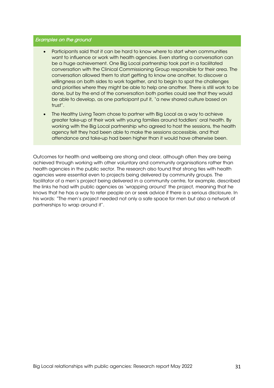#### Examples on the ground

- Participants said that it can be hard to know where to start when communities want to influence or work with health agencies. Even starting a conversation can be a huge achievement. One Big Local partnership took part in a facilitated conversation with the Clinical Commissioning Group responsible for their area. The conversation allowed them to start getting to know one another, to discover a willingness on both sides to work together, and to begin to spot the challenges and priorities where they might be able to help one another. There is still work to be done, but by the end of the conversation both parties could see that they would be able to develop, as one participant put it, "a new shared culture based on trust".
- The Healthy Living Team chose to partner with Big Local as a way to achieve greater take-up of their work with young families around toddlers' oral health. By working with the Big Local partnership who agreed to host the sessions, the health agency felt they had been able to make the sessions accessible, and that attendance and take-up had been higher than it would have otherwise been.

Outcomes for health and wellbeing are strong and clear, although often they are being achieved through working with other voluntary and community organisations rather than health agencies in the public sector. The research also found that strong ties with health agencies were essential even to projects being delivered by community groups. The facilitator of a men's project being delivered in a community centre, for example, described the links he had with public agencies as 'wrapping around' the project, meaning that he knows that he has a way to refer people on or seek advice if there is a serious disclosure. In his words: "The men's project needed not only a safe space for men but also a network of partnerships to wrap around it".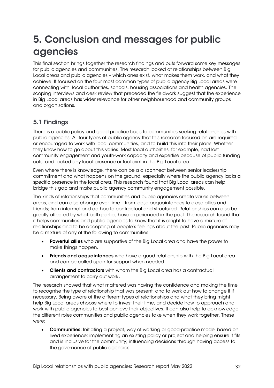# <span id="page-31-0"></span>5. Conclusion and messages for public agencies

This final section brings together the research findings and puts forward some key messages for public agencies and communities. The research looked at relationships between Big Local areas and public agencies – which ones exist, what makes them work, and what they achieve. It focused on the four most common types of public agency Big Local areas were connecting with: local authorities, schools, housing associations and health agencies. The scoping interviews and desk review that preceded the fieldwork suggest that the experience in Big Local areas has wider relevance for other neighbourhood and community groups and organisations.

# 5.1 Findings

There is a public policy and good-practice basis to communities seeking relationships with public agencies. All four types of public agency that this research focused on are required or encouraged to work with local communities, and to build this into their plans. Whether they know how to go about this varies. Most local authorities, for example, had lost community engagement and youth-work capacity and expertise because of public funding cuts, and lacked any local presence or footprint in the Big Local area.

Even where there is knowledge, there can be a disconnect between senior leadership commitment and what happens on the ground, especially where the public agency lacks a specific presence in the local area. This research found that Big Local areas can help bridge this gap and make public agency community engagement possible.

The kinds of relationships that communities and public agencies create varies between areas, and can also change over time – from loose acquaintances to close allies and friends; from informal and ad hoc to contractual and structured. Relationships can also be greatly affected by what both parties have experienced in the past. The research found that it helps communities and public agencies to know that it is alright to have a mixture of relationships and to be accepting of people's feelings about the past. Public agencies may be a mixture of any of the following to communities:

- Powerful allies who are supportive of the Big Local area and have the power to make things happen.
- Friends and acquaintances who have a good relationship with the Big Local area and can be called upon for support when needed.
- Clients and contractors with whom the Big Local area has a contractual arrangement to carry out work.

The research showed that what mattered was having the confidence and making the time to recognise the type of relationship that was present, and to work out how to change it if necessary. Being aware of the different types of relationships and what they bring might help Big Local areas choose where to invest their time, and decide how to approach and work with public agencies to best achieve their objectives. It can also help to acknowledge the different roles communities and public agencies take when they work together. These were:

**Communities:** Initiating a project, way of working or good-practice model based on lived experience; implementing an existing policy or project and helping ensure it fits and is inclusive for the community; influencing decisions through having access to the governance of public agencies.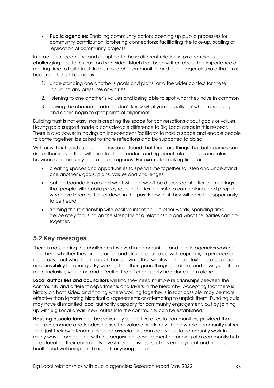• Public agencies: Enabling community action; opening up public processes for community contribution; brokering connections; facilitating the take-up, scaling or replication of community projects.

In practice, recognising and adapting to these different relationships and roles is challenging and takes trust on both sides. Much has been written about the importance of making time to build trust. In this research, communities and public agencies said that trust had been helped along by:

- 1. understanding one another's goals and plans, and the wider context for these including any pressures or worries
- 2. listening to one another's values and being able to spot what they have in common
- 3. having the chance to admit 'I don't know what you actually do' when necessary, and again begin to spot points of alignment.

Building trust is not easy, nor is creating the space for conversations about goals or values. Having paid support made a considerable difference to Big Local areas in this respect. There is also power in having an independent facilitator to hold a space and enable people to come together, be asked to share reflections and be supported to do so.

With or without paid support, the research found that there are things that both parties can do for themselves that will build trust and understanding about relationships and roles between a community and a public agency. For example, making time for:

- creating spaces and opportunities to spend time together to listen and understand one another's goals, plans, values and challenges
- putting boundaries around what will and won't be discussed at different meetings so that people with public policy responsibilities feel safe to come along, and people who have been hurt or let down in the past know that they will have the opportunity to be heard
- framing the relationship with positive intention in other words, spending time deliberately focusing on the strengths of a relationship and what the parties can do together.

# 5.2 Key messages

There is no ignoring the challenges involved in communities and public agencies working together – whether they are historical and structural or to do with capacity, experience or resources – but what this research has shown is that whatever the context, there is scope and possibility for change. By working together, good things get done, and in ways that are more inclusive, welcome and effective than if either party had done them alone.

Local authorities and councillors will find they need multiple relationships between the community and different departments and layers in the hierarchy. Accepting that there is history on both sides, and finding where working together is in fact possible, may be more effective than ignoring historical disagreements or attempting to unpick them. Funding cuts may have dismantled local authority capacity for community engagement, but by joining up with Big Local areas, new routes into the community can be established.

Housing associations can be powerfully supportive allies to communities, provided that their governance and leadership see the value of working with the whole community rather than just their own tenants. Housing associations can add value to community work in many ways, from helping with the acquisition, development or running of a community hub to co-locating their community investment activities, such as employment and training, health and wellbeing, and support for young people.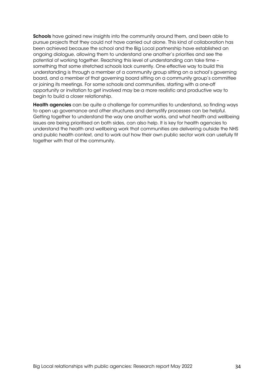Schools have gained new insights into the community around them, and been able to pursue projects that they could not have carried out alone. This kind of collaboration has been achieved because the school and the Big Local partnership have established an ongoing dialogue, allowing them to understand one another's priorities and see the potential of working together. Reaching this level of understanding can take time – something that some stretched schools lack currently. One effective way to build this understanding is through a member of a community group sitting on a school's governing board, and a member of that governing board sitting on a community group's committee or joining its meetings. For some schools and communities, starting with a one-off opportunity or invitation to get involved may be a more realistic and productive way to begin to build a closer relationship.

**Health agencies** can be quite a challenge for communities to understand, so finding ways to open up governance and other structures and demystify processes can be helpful. Getting together to understand the way one another works, and what health and wellbeing issues are being prioritised on both sides, can also help. It is key for health agencies to understand the health and wellbeing work that communities are delivering outside the NHS and public health context, and to work out how their own public sector work can usefully fit together with that of the community.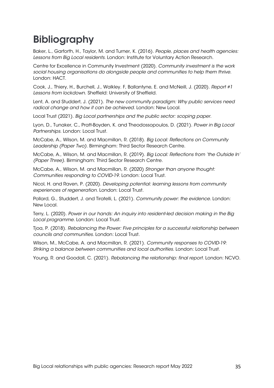# <span id="page-34-0"></span>Bibliography

Baker, L., Garforth, H., Taylor, M. and Turner, K. (2016). *People, places and health agencies: Lessons from Big Local residents*. London: Institute for Voluntary Action Research.

Centre for Excellence in Community Investment (2020). *Community investment is the work social housing organisations do alongside people and communities to help them thrive*. London: HACT.

Cook, J., Thiery, H., Burchell, J., Walkley. F, Ballantyne, E. and McNeill, J. (2020). *Report #1 Lessons from lockdown*. Sheffield: University of Sheffield.

Lent, A. and Studdert, J. (2021). *The new community paradigm: Why public services need radical change and how it can be achieved*. London: New Local.

Local Trust (2021). *Big Local partnerships and the public sector: scoping paper*.

Lyon, D., Tunaker, C., Pratt-Boyden, K. and Theodossopoulos, D. (2021). *Power in Big Local Partnerships*. London: Local Trust.

McCabe, A., Wilson, M. and Macmillan, R. (2018). *Big Local: Reflections on Community Leadership (Paper Two)*. Birmingham: Third Sector Research Centre.

McCabe, A., Wilson, M. and Macmillan, R. (2019). *Big Local: Reflections from 'the Outside In' (Paper Three)*. Birmingham: Third Sector Research Centre.

McCabe, A., Wilson, M. and Macmillan, R. (2020) *Stronger than anyone thought: Communities responding to COVID-19*. London: Local Trust.

Nicol, H. and Raven, P. (2020). *Developing potential: learning lessons from community experiences of regeneration*. London: Local Trust.

Pollard, G., Studdert, J. and Tiratelli, L. (2021). *Community power: the evidence*. London: New Local.

Terry, L. (2020). *Power in our hands: An inquiry into resident-led decision making in the Big Local programme*. London: Local Trust.

Tjoa, P. (2018). *Rebalancing the Power: Five principles for a successful relationship between councils and communities*. London: Local Trust.

Wilson, M., McCabe, A. and Macmillan, R. (2021). *Community responses to COVID-19: Striking a balance between communities and local authorities*. London: Local Trust.

Young, R. and Goodall, C. (2021). *Rebalancing the relationship: final report*. London: NCVO.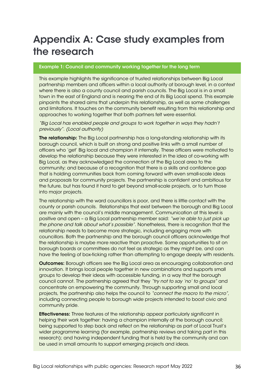# <span id="page-35-0"></span>Appendix A: Case study examples from the research

#### Example 1: Council and community working together for the long term

This example highlights the significance of trusted relationships between Big Local partnership members and officers within a local authority at borough level, in a context where there is also a county council and parish councils. The Big Local is in a small town in the east of England and is nearing the end of its Big Local spend. This example pinpoints the shared aims that underpin this relationship, as well as some challenges and limitations. It touches on the community benefit resulting from this relationship and approaches to working together that both partners felt were essential.

*"Big Local has enabled people and groups to work together in ways they hadn't previously". (Local authority)*

The relationship: The Big Local partnership has a long-standing relationship with its borough council, which is built on strong and positive links with a small number of officers who 'get' Big local and champion it internally. These officers were motivated to develop the relationship because they were interested in the idea of co-working with Big Local, as they acknowledged the connection of the Big Local area to the community; and because of a recognition that there is a skills and confidence gap that is holding communities back from coming forward with even small-scale ideas and proposals for community projects. The partnership is confident and ambitious for the future, but has found it hard to get beyond small-scale projects, or to turn those into major projects.

The relationship with the ward councillors is poor, and there is little contact with the county or parish councils. Relationships that exist between the borough and Big Local are mainly with the council's middle management. Communication at this level is positive and open – a Big Local partnership member said: *"we're able to just pick up the phone and talk about what's possible"*. Nonetheless, there is recognition that the relationship needs to become more strategic, including engaging more with councillors. Both the partnership and the borough council officers acknowledge that the relationship is maybe more reactive than proactive. Some opportunities to sit on borough boards or committees do not feel as strategic as they might be, and can have the feeling of box-ticking rather than attempting to engage deeply with residents.

**Outcomes:** Borough officers see the Big Local area as encouraging collaboration and innovation. It brings local people together in new combinations and supports small groups to develop their ideas with accessible funding, in a way that the borough council cannot. The partnership agreed that they *"try not to say 'no' to groups"* and concentrate on empowering the community. Through supporting small and local projects, the partnership also helps the council to *"connect the macro to the micro"*, including connecting people to borough wide projects intended to boost civic and community pride.

**Effectiveness:** Three features of the relationship appear particularly significant in helping their work together: having a champion internally at the borough council; being supported to step back and reflect on the relationship as part of Local Trust's wider programme learning (for example, partnership reviews and taking part in this research); and having independent funding that is held by the community and can be used in small amounts to support emerging projects and ideas.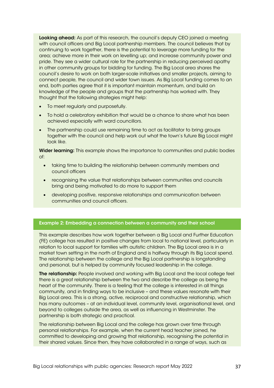Looking ahead: As part of this research, the council's deputy CEO joined a meeting with council officers and Big Local partnership members. The council believes that by continuing to work together, there is the potential to leverage more funding for the area; achieve more in their work on levelling up; and increase community power and pride. They see a wider cultural role for the partnership in reducing perceived apathy in other community groups for bidding for funding. The Big Local area shares the council's desire to work on both larger-scale initiatives and smaller projects, aiming to connect people, the council and wider town issues. As Big Local funding comes to an end, both parties agree that it is important maintain momentum, and build on knowledge of the people and groups that the partnership has worked with. They thought that the following strategies might help:

- To meet regularly and purposefully.
- To hold a celebratory exhibition that would be a chance to share what has been achieved especially with ward councillors.
- The partnership could use remaining time to act as facilitator to bring groups together with the council and help work out what the town's future Big Local might look like.

Wider learning: This example shows the importance to communities and public bodies of:

- taking time to building the relationship between community members and council officers
- recognising the value that relationships between communities and councils bring and being motivated to do more to support them
- developing positive, responsive relationships and communication between communities and council officers.

#### Example 2: Embedding a connection between a community and their school

This example describes how work together between a Big Local and Further Education (FE) college has resulted in positive changes from local to national level, particularly in relation to local support for families with autistic children. The Big Local area is in a market town setting in the north of England and is halfway through its Big Local spend. The relationship between the college and the Big Local partnership is longstanding and personal, but is helped by community focused leadership in the college.

The relationship: People involved and working with Big Local and the local college feel there is a great relationship between the two and describe the college as being the heart of the community. There is a feeling that the college is interested in all things community, and in finding ways to be inclusive – and these values resonate with their Big Local area. This is a strong, active, reciprocal and constructive relationship, which has many outcomes – at an individual level, community level, organisational level, and beyond to colleges outside the area, as well as influencing in Westminster. The partnership is both strategic and practical.

The relationship between Big Local and the college has grown over time through personal relationships. For example, when the current head teacher joined, he committed to developing and growing that relationship, recognising the potential in their shared values. Since then, they have collaborated in a range of ways, such as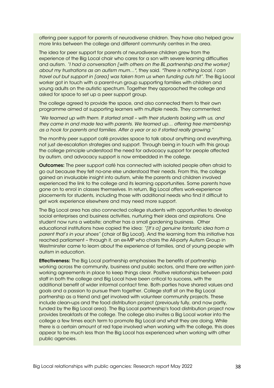offering peer support for parents of neurodiverse children. They have also helped grow more links between the college and different community centres in the area.

The idea for peer support for parents of neurodiverse children grew from the experience of the Big Local chair who cares for a son with severe learning difficulties and autism. *"I had a conversation [with others on the BL partnership and the worker] about my frustrations as an autism mum…",* they said. *"There is nothing local, I can travel out but support in [area] was taken from us when funding cuts hit".* The Big Local worker got in touch with a parent-run group supporting families with children and young adults on the autistic spectrum. Together they approached the college and asked for space to set up a peer support group.

The college agreed to provide the space, and also connected them to their own programme aimed at supporting learners with multiple needs. They commented:

*"We teamed up with them. It started small – with their students baking with us, and they came in and made tea with parents. We teamed up… offering free membership as a hook for parents and families. After a year or so it started really growing."* 

The monthly peer support café provides space to talk about anything and everything, not just de-escalation strategies and support. Through being in touch with this group the college principle understood the need for advocacy support for people affected by autism, and advocacy support is now embedded in the college.

**Outcomes:** The peer support café has connected with isolated people often afraid to go out because they felt no-one else understood their needs. From this, the college gained an invaluable insight into autism, while the parents and children involved experienced the link to the college and its learning opportunities. Some parents have gone on to enrol in classes themselves. In return, Big Local offers work-experience placements for students, including those with additional needs who find it difficult to get work experience elsewhere and may need more support.

The Big Local area has also connected college students with opportunities to develop social enterprises and business activities, nurturing their ideas and aspirations. One student now runs a website; another has a small gardening business. Other educational institutions have copied the idea: *"[It's a] genuine fantastic idea from a parent that's in your shoes"* (chair of Big Local). And the learning from this initiative has reached parliament – through it, an ex-MP who chairs the All-party Autism Group in Westminster came to learn about the experience of families, and of young people with autism in education.

**Effectiveness:** The Big Local partnership emphasises the benefits of partnership working across the community, business and public sectors, and there are written jointworking agreements in place to keep things clear. Positive relationships between paid staff in both the college and Big Local have been critical to success, with the additional benefit of wider informal contact time. Both parties have shared values and goals and a passion to pursue them together. College staff sit on the Big Local partnership as a friend and get involved with volunteer community projects. These include clean-ups and the food distribution project (previously fully, and now partly, funded by the Big Local area). The Big Local partnership's food distribution project now provides breakfasts at the college. The college also invites a Big Local worker into the college a few times each term to promote Big Local and what they are doing. While there is a certain amount of red tape involved when working with the college, this does appear to be much less than the Big Local has experienced when working with other public agencies.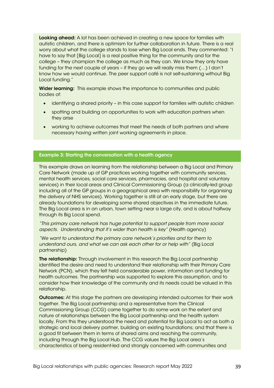Looking ahead: A lot has been achieved in creating a new space for families with autistic children, and there is optimism for further collaboration in future. There is a real worry about what the college stands to lose when Big Local ends. They commented: "I have to say that [Big Local] is a real positive thing for the community and for the college – they champion the college as much as they can. We know they only have funding for the next couple of years – if they go we will really miss them (…) I don't know how we would continue. The peer support café is not self-sustaining without Big Local funding."

Wider learning: This example shows the importance to communities and public bodies of:

- identifying a shared priority in this case support for families with autistic children
- spotting and building on opportunities to work with education partners when they arise
- working to achieve outcomes that meet the needs of both partners and where necessary having written joint working agreements in place.

#### Example 3: Starting the conversation with a health agency

This example draws on learning from the relationship between a Big Local and Primary Care Network (made up of GP practices working together with community services, mental health services, social care services, pharmacies, and hospital and voluntary services) in their local areas and Clinical Commissioning Group (a clinically-led group including all of the GP groups in a geographical area with responsibility for organising the delivery of NHS services). Working together is still at an early stage, but there are already foundations for developing some shared objectives in the immediate future. The Big Local area is in an urban, town setting near a large city, and is about halfway through its Big Local spend.

*"This primary care network has huge potential to support people from more social aspects. Understanding that it's wider than health is key"* (Health agency)

*"We want to understand the primary care network's priorities and for them to understand ours, and what we can ask each other for or help with"* (Big Local partnership)

The relationship: Through involvement in this research the Big Local partnership identified the desire and need to understand their relationship with their Primary Care Network (PCN), which they felt held considerable power, information and funding for health outcomes. The partnership was supported to explore this assumption, and to consider how their knowledge of the community and its needs could be valued in this relationship.

**Outcomes:** At this stage the partners are developing intended outcomes for their work together. The Big Local partnership and a representative from the Clinical Commissioning Group (CCG) came together to do some work on the extent and nature of relationships between the Big Local partnership and the health system locally. From this they understood the need and potential for Big Local to act as both a strategic and local delivery partner, building on existing foundations; and that there is a good fit between them in terms of shared aims and reaching the community, including through the Big Local Hub. The CCG values the Big Local area's characteristics of being resident-led and strongly concerned with communities and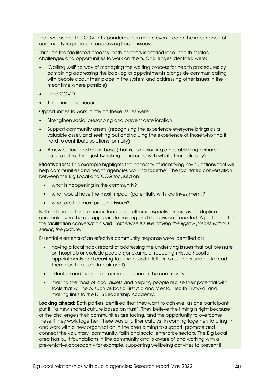their wellbeing. The COVID-19 pandemic has made even clearer the importance of community responses in addressing health issues.

Through the facilitated process, both partners identified local health-related challenges and opportunities to work on them. Challenges identified were:

- 'Waiting well' (a way of managing the waiting process for health procedures by combining addressing the backlog of appointments alongside communicating with people about their place in the system and addressing other issues in the meantime where possible)
- **Long COVID**
- The crisis in homecare

Opportunities to work jointly on these issues were:

- Strengthen social prescribing and prevent deterioration
- Support community assets (recognising the experience everyone brings as a valuable asset, and seeking out and valuing the experience of those who find it hard to contribute solutions formally)
- A new culture and value base (that is, joint working on establishing a shared culture rather than just tweaking or tinkering with what's there already)

Effectiveness: This example highlights the necessity of identifying key questions that will help communities and health agencies working together. The facilitated conversation between the Big Local and CCG focused on:

- what is happening in the community?
- what would have the most impact (potentially with low investment)?
- what are the most pressing issues?

Both felt it important to understand each other's respective roles, avoid duplication, and make sure there is appropriate training and supervision if needed. A participant in the facilitation conversation said: "*otherwise it's like having the jigsaw pieces without seeing the picture."*

Essential elements of an effective community response were identified as:

- having a local track record of addressing the underlying issues that put pressure on hospitals or exclude people (for example, reducing missed hospital appointments and ceasing to send hospital letters to residents unable to read them due to a sight impairment)
- effective and accessible communication in the community
- making the most of local assets and helping people realise their potential with tools that will help, such as basic First Aid and Mental Health First-Aid, and making links to the NHS Leadership Academy.

Looking ahead: Both parties identified that they want to achieve, as one participant put it, "a new shared culture based on trust". They believe the timing is right because of the challenges their communities are facing, and the opportunity to overcome these if they work together. There was a further catalyst in coming together: to bring in and work with a new organisation in the area aiming to support, promote and connect the voluntary, community, faith and social enterprise sectors. The Big Local area has built foundations in the community and is aware of and working with a preventative approach – for example, supporting wellbeing activities to prevent ill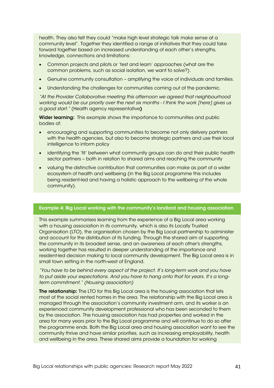health. They also felt they could "make high level strategic talk make sense at a community level". Together they identified a range of initiatives that they could take forward together based on increased understanding of each other's strengths, knowledge, connections and limitations:

- Common projects and pilots or 'test and learn' approaches (what are the common problems, such as social isolation, we want to solve?).
- Genuine community consultation amplifying the voice of individuals and families.
- Understanding the challenges for communities coming out of the pandemic.

*"At the Provider Collaborative meeting this afternoon we agreed that neighbourhood working would be our priority over the next six months - I think the work [here] gives us a good start."* (Health agency representative)

Wider learning: This example shows the importance to communities and public bodies of:

- encouraging and supporting communities to become not only delivery partners with the health agencies, but also to become strategic partners and use their local intelligence to inform policy
- identifying the 'fit' between what community groups can do and their public health sector partners – both in relation to shared aims and reaching the community
- valuing the distinctive contribution that communities can make as part of a wider ecosystem of health and wellbeing (in the Big Local programme this includes being resident-led and having a holistic approach to the wellbeing of the whole community).

#### Example 4: Big Local working with the community's landlord and housing association

This example summarises learning from the experience of a Big Local area working with a housing association in its community, which is also its Locally Trusted Organisation (LTO), the organisation chosen by the Big Local partnership to administer and account for the distribution of its funding. Through the shared aim of supporting the community in its broadest sense, and an awareness of each other's strengths, working together has resulted in deeper understanding of the importance and resident-led decision making to local community development. The Big Local area is in small town setting in the north-west of England.

*"You have to be behind every aspect of the project. It's long-term work and you have to put aside your expectations. And you have to hang onto that for years. It's a longterm commitment." (Housing association)*

The relationship: The LTO for this Big Local area is the housing association that lets most of the social rented homes in the area. The relationship with the Big Local area is managed through the association's community investment arm, and its worker is an experienced community development professional who has been seconded to them by the association. The housing association has had properties and worked in the area for many years prior to the Big Local programme and will continue to do so after the programme ends. Both the Big Local area and housing association want to see the community thrive and have similar priorities, such as increasing employability, health and wellbeing in the area. These shared aims provide a foundation for working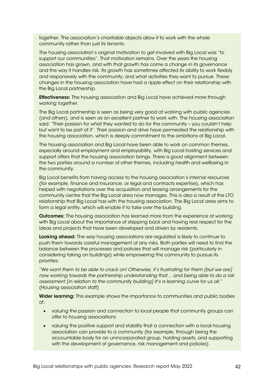together. The association's charitable objects allow it to work with the whole community rather than just its tenants.

The housing association's original motivation to get involved with Big Local was "to support our communities". That motivation remains. Over the years the housing association has grown, and with that growth has come a change in its governance and the way it handles risk. Its growth has sometimes affected its ability to work flexibly and responsively with the community, and what activities they want to pursue. These changes in the housing association have had a ripple effect on their relationship with the Big Local partnership.

**Effectiveness:** The housing association and Big Local have achieved more through working together.

The Big Local partnership is seen as being very good at working with public agencies (and others), and is seen as an excellent partner to work with. The housing association said: "Their passion for what they wanted to do for the community – you couldn't help but want to be part of it"*.* Their passion and drive have permeated the relationship with the housing association, which is deeply commitment to the ambitions of Big Local.

The housing association and Big Local have been able to work on common themes, especially around employment and employability, with Big Local hosting services and support offers that the housing association brings. There is good alignment between the two parties around a number of other themes, including health and wellbeing in the community.

Big Local benefits from having access to the housing association's internal resources (for example, finance and insurance, or legal and contracts expertise), which has helped with negotiations over the acquisition and leasing arrangements for the community centre that the Big Local area now manages. This is also a result of the LTO relationship that Big Local has with the housing association. The Big Local area aims to form a legal entity, which will enable it to take over the building.

**Outcomes:** The housing association has learned more from the experience of working with Big Local about the importance of stepping back and having real respect for the ideas and projects that have been developed and driven by residents.

Looking ahead: The way housing associations are regulated is likely to continue to push them towards careful management of any risks. Both parties will need to find the balance between the processes and policies that will manage risk (particularly in considering taking on buildings) while empowering the community to pursue its priorities:

"*We want them to be able to crack on! Otherwise, it's frustrating for them [but we are] now working towards the partnership understanding that… and being able to do a risk assessment [in relation to the community building] It's a learning curve for us all."* (Housing association staff)

Wider learning: This example shows the importance to communities and public bodies of:

- valuing the passion and connection to local people that community groups can offer to housing associations
- valuing the positive support and stability that a connection with a local housing association can provide to a community (for example, through being the accountable body for an unincorporated group, holding assets, and supporting with the development of governance, risk management and policies)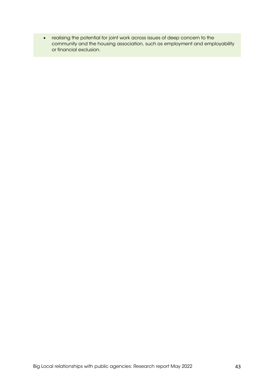• realising the potential for joint work across issues of deep concern to the community and the housing association, such as employment and employability or financial exclusion.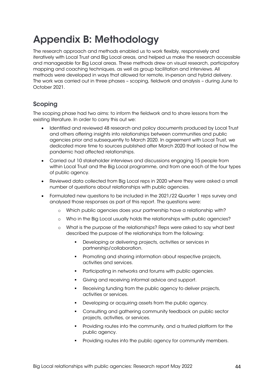# <span id="page-43-0"></span>Appendix B: Methodology

The research approach and methods enabled us to work flexibly, responsively and iteratively with Local Trust and Big Local areas, and helped us make the research accessible and manageable for Big Local areas. These methods drew on visual research, participatory mapping and coaching techniques, as well as group facilitation and interviews. All methods were developed in ways that allowed for remote, in-person and hybrid delivery. The work was carried out in three phases – scoping, fieldwork and analysis – during June to October 2021.

# Scoping

The scoping phase had two aims: to inform the fieldwork and to share lessons from the existing literature. In order to carry this out we:

- Identified and reviewed 48 research and policy documents produced by Local Trust and others offering insights into relationships between communities and public agencies prior and subsequently to March 2020. In agreement with Local Trust, we dedicated more time to sources published after March 2020 that looked at how the pandemic had affected relationships.
- Carried out 10 stakeholder interviews and discussions engaging 15 people from within Local Trust and the Big Local programme, and from one each of the four types of public agency.
- Reviewed data collected from Big Local reps in 2020 where they were asked a small number of questions about relationships with public agencies.
- Formulated new questions to be included in the 2021/22 Quarter 1 reps survey and analysed those responses as part of this report. The questions were:
	- o Which public agencies does your partnership have a relationship with?
	- o Who in the Big Local usually holds the relationships with public agencies?
	- o What is the purpose of the relationships? Reps were asked to say what best described the purpose of the relationships from the following:
		- **Developing or delivering projects, activities or services in** partnership/collaboration.
		- **•** Promoting and sharing information about respective projects, activities and services.
		- **Participating in networks and forums with public agencies.**
		- Giving and receiving informal advice and support.
		- Receiving funding from the public agency to deliver projects, activities or services.
		- Developing or acquiring assets from the public agency.
		- Consulting and gathering community feedback on public sector projects, activities, or services.
		- Providing routes into the community, and a trusted platform for the public agency.
		- Providing routes into the public agency for community members.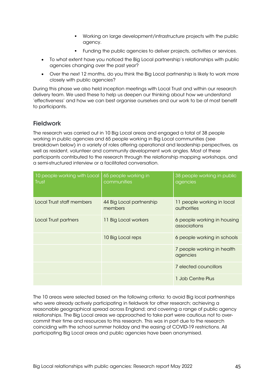- Working on large development/infrastructure projects with the public agency.
- Funding the public agencies to deliver projects, activities or services.
- To what extent have you noticed the Big Local partnership's relationships with public agencies changing over the past year?
- Over the next 12 months, do you think the Big Local partnership is likely to work more closely with public agencies?

During this phase we also held inception meetings with Local Trust and within our research delivery team. We used these to help us deepen our thinking about how we understand 'effectiveness' and how we can best organise ourselves and our work to be of most benefit to participants.

# **Fieldwork**

The research was carried out in 10 Big Local areas and engaged a total of 38 people working in public agencies and 65 people working in Big Local communities (see breakdown below) in a variety of roles offering operational and leadership perspectives, as well as resident, volunteer and community development work angles. Most of these participants contributed to the research through the relationship mapping workshops, and a semi-structured interview or a facilitated conversation.

| 10 people working with Local<br><b>Trust</b> | 65 people working in<br>communities | 38 people working in public<br>agencies     |
|----------------------------------------------|-------------------------------------|---------------------------------------------|
| Local Trust staff members                    | 44 Big Local partnership<br>members | 11 people working in local<br>authorities   |
| <b>Local Trust partners</b>                  | <b>Big Local workers</b><br>11.     | 6 people working in housing<br>associations |
|                                              | 10 Big Local reps                   | 6 people working in schools                 |
|                                              |                                     | 7 people working in health<br>agencies      |
|                                              |                                     | 7 elected councillors                       |
|                                              |                                     | 1 Job Centre Plus                           |

The 10 areas were selected based on the following criteria: to avoid Big local partnerships who were already actively participating in fieldwork for other research; achieving a reasonable geographical spread across England; and covering a range of public agency relationships. The Big Local areas we approached to take part were cautious not to overcommit their time and resources to this research. This was in part due to the research coinciding with the school summer holiday and the easing of COVID-19 restrictions. All participating Big Local areas and public agencies have been anonymised.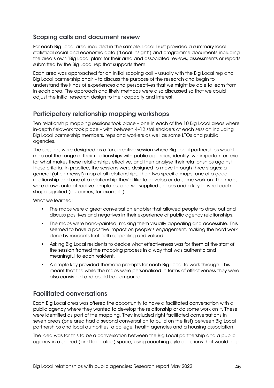# Scoping calls and document review

For each Big Local area included in the sample, Local Trust provided a summary local statistical social and economic data ('Local Insight') and programme documents including the area's own 'Big Local plan' for their area and associated reviews, assessments or reports submitted by the Big Local rep that supports them.

Each area was approached for an initial scoping call – usually with the Big Local rep and Big Local partnership chair – to discuss the purpose of the research and begin to understand the kinds of experiences and perspectives that we might be able to learn from in each area. The approach and likely methods were also discussed so that we could adjust the initial research design to their capacity and interest.

# Participatory relationship mapping workshops

Ten relationship mapping sessions took place – one in each of the 10 Big Local areas where in-depth fieldwork took place – with between 4–12 stakeholders at each session including Big Local partnership members, reps and workers as well as some LTOs and public agencies.

The sessions were designed as a fun, creative session where Big Local partnerships would map out the range of their relationships with public agencies, identify two important criteria for what makes these relationships effective, and then analyse their relationships against these criteria. In practice, the sessions were designed to move through three stages: a general (often messy!) map of all relationships, then two specific maps: one of a good relationship and one of a relationship they'd like to develop or do some work on. The maps were drawn onto attractive templates, and we supplied shapes and a key to what each shape signified (outcomes, for example).

What we learned:

- The maps were a great conversation enabler that allowed people to draw out and discuss positives and negatives in their experience of public agency relationships.
- The maps were hand-painted, making them visually appealing and accessible. This seemed to have a positive impact on people's engagement, making the hard work done by residents feel both appealing and valued.
- Asking Big Local residents to decide what effectiveness was for them at the start of the session framed the mapping process in a way that was authentic and meaningful to each resident.
- A simple key provided thematic prompts for each Big Local to work through. This meant that the while the maps were personalised in terms of effectiveness they were also consistent and could be compared.

# Facilitated conversations

Each Big Local area was offered the opportunity to have a facilitated conversation with a public agency where they wanted to develop the relationship or do some work on it. These were identified as part of the mapping. They included right facilitated conversations in seven areas (one area had a second conversation to build on the first) between Big Local partnerships and local authorities, a college, health agencies and a housing association.

The idea was for this to be a conversation between the Big Local partnership and a public agency in a shared (and facilitated) space, using coaching-style questions that would help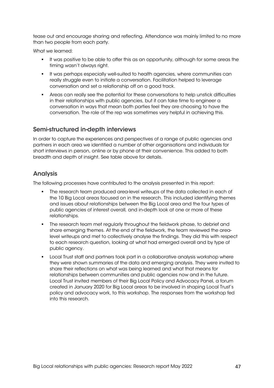tease out and encourage sharing and reflecting. Attendance was mainly limited to no more than two people from each party.

What we learned:

- It was positive to be able to offer this as an opportunity, although for some areas the timing wasn't always right.
- It was perhaps especially well-suited to health agencies, where communities can really struggle even to initiate a conversation. Facilitation helped to leverage conversation and set a relationship off on a good track.
- Areas can really see the potential for these conversations to help unstick difficulties in their relationships with public agencies, but it can take time to engineer a conversation in ways that mean both parties feel they are choosing to have the conversation. The role of the rep was sometimes very helpful in achieving this.

### Semi-structured in-depth interviews

In order to capture the experiences and perspectives of a range of public agencies and partners in each area we identified a number of other organisations and individuals for short interviews in person, online or by phone at their convenience. This added to both breadth and depth of insight. See table above for details.

# Analysis

The following processes have contributed to the analysis presented in this report:

- The research team produced area-level writeups of the data collected in each of the 10 Big Local areas focused on in the research. This included identifying themes and issues about relationships between the Big Local area and the four types of public agencies of interest overall, and in-depth look at one or more of these relationships.
- **The research team met regularly throughout the fieldwork phase, to debrief and** share emerging themes. At the end of the fieldwork, the team reviewed the arealevel writeups and met to collectively analyse the findings. They did this with respect to each research question, looking at what had emerged overall and by type of public agency.
- Local Trust staff and partners took part in a collaborative analysis workshop where they were shown summaries of the data and emerging analysis. They were invited to share their reflections on what was being learned and what that means for relationships between communities and public agencies now and in the future. Local Trust invited members of their Big Local Policy and Advocacy Panel, a forum created in January 2020 for Big Local areas to be involved in shaping Local Trust's policy and advocacy work, to this workshop. The responses from the workshop fed into this research.